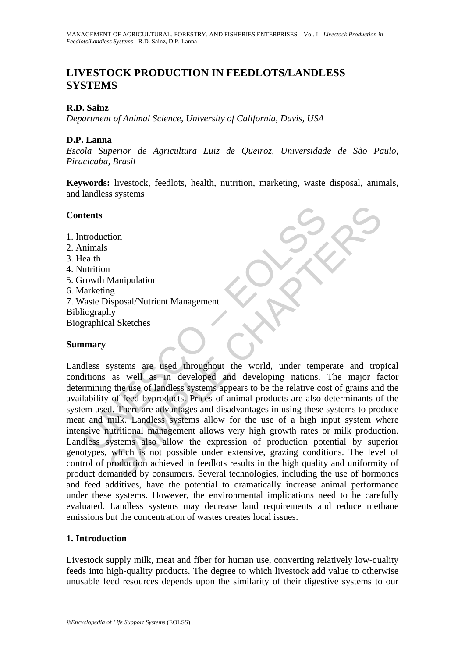# **LIVESTOCK PRODUCTION IN FEEDLOTS/LANDLESS SYSTEMS**

# **R.D. Sainz**

*Department of Animal Science, University of California, Davis, USA* 

### **D.P. Lanna**

*Escola Superior de Agricultura Luiz de Queiroz, Universidade de São Paulo, Piracicaba, Brasil* 

**Keywords:** livestock, feedlots, health, nutrition, marketing, waste disposal, animals, and landless systems

### **Contents**

- 1. Introduction
- 2. Animals
- 3. Health
- 4. Nutrition
- 5. Growth Manipulation
- 6. Marketing
- 7. Waste Disposal/Nutrient Management Bibliography Biographical Sketches

# **Summary**

The Manuforth Content of the Secondary of the Secondary of Production<br>
Internalistical (Internalistic model)<br>
The Maketing Vaste Disposal/Nutrient Management<br>
Internalistical Sketches<br>
Internalistical Sketches<br>
Internalist The Manipulation<br>
Manipulation<br>
Manipulation<br>
Signosal/Nutrient Management<br>
hy<br>
al Sketches<br>
as well as in developed and developing mations. The major fast<br>
as well as in developed and developing mations. The major fast<br>
g Landless systems are used throughout the world, under temperate and tropical conditions as well as in developed and developing nations. The major factor determining the use of landless systems appears to be the relative cost of grains and the availability of feed byproducts. Prices of animal products are also determinants of the system used. There are advantages and disadvantages in using these systems to produce meat and milk. Landless systems allow for the use of a high input system where intensive nutritional management allows very high growth rates or milk production. Landless systems also allow the expression of production potential by superior genotypes, which is not possible under extensive, grazing conditions. The level of control of production achieved in feedlots results in the high quality and uniformity of product demanded by consumers. Several technologies, including the use of hormones and feed additives, have the potential to dramatically increase animal performance under these systems. However, the environmental implications need to be carefully evaluated. Landless systems may decrease land requirements and reduce methane emissions but the concentration of wastes creates local issues.

### **1. Introduction**

Livestock supply milk, meat and fiber for human use, converting relatively low-quality feeds into high-quality products. The degree to which livestock add value to otherwise unusable feed resources depends upon the similarity of their digestive systems to our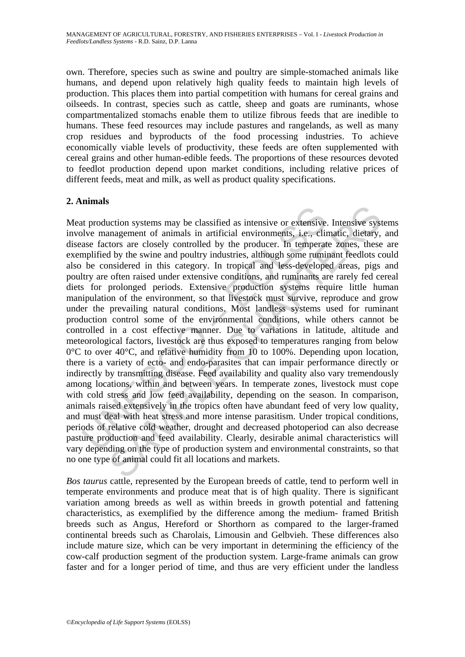own. Therefore, species such as swine and poultry are simple-stomached animals like humans, and depend upon relatively high quality feeds to maintain high levels of production. This places them into partial competition with humans for cereal grains and oilseeds. In contrast, species such as cattle, sheep and goats are ruminants, whose compartmentalized stomachs enable them to utilize fibrous feeds that are inedible to humans. These feed resources may include pastures and rangelands, as well as many crop residues and byproducts of the food processing industries. To achieve economically viable levels of productivity, these feeds are often supplemented with cereal grains and other human-edible feeds. The proportions of these resources devoted to feedlot production depend upon market conditions, including relative prices of different feeds, meat and milk, as well as product quality specifications.

# **2. Animals**

t production systems may be classified as intensive or extensive<br>olve management of animals in artificial environments, i.e., clin<br>are factors are closely controlled by the producer. In temperat<br>applified by the swine and inction systems may be classified as intensive or extensive. Intensive systems<br>annagement of animals in artificial environments, i.e., climatic, dietary,<br>tors are closely controlled by the producer. In temperate zones, the Meat production systems may be classified as intensive or extensive. Intensive systems involve management of animals in artificial environments, i.e., climatic, dietary, and disease factors are closely controlled by the producer. In temperate zones, these are exemplified by the swine and poultry industries, although some ruminant feedlots could also be considered in this category. In tropical and less-developed areas, pigs and poultry are often raised under extensive conditions, and ruminants are rarely fed cereal diets for prolonged periods. Extensive production systems require little human manipulation of the environment, so that livestock must survive, reproduce and grow under the prevailing natural conditions. Most landless systems used for ruminant production control some of the environmental conditions, while others cannot be controlled in a cost effective manner. Due to variations in latitude, altitude and meteorological factors, livestock are thus exposed to temperatures ranging from below  $0^{\circ}$ C to over 40 $^{\circ}$ C, and relative humidity from 10 to 100%. Depending upon location, there is a variety of ecto- and endo-parasites that can impair performance directly or indirectly by transmitting disease. Feed availability and quality also vary tremendously among locations, within and between years. In temperate zones, livestock must cope with cold stress and low feed availability, depending on the season. In comparison, animals raised extensively in the tropics often have abundant feed of very low quality, and must deal with heat stress and more intense parasitism. Under tropical conditions, periods of relative cold weather, drought and decreased photoperiod can also decrease pasture production and feed availability. Clearly, desirable animal characteristics will vary depending on the type of production system and environmental constraints, so that no one type of animal could fit all locations and markets.

*Bos taurus* cattle, represented by the European breeds of cattle, tend to perform well in temperate environments and produce meat that is of high quality. There is significant variation among breeds as well as within breeds in growth potential and fattening characteristics, as exemplified by the difference among the medium- framed British breeds such as Angus, Hereford or Shorthorn as compared to the larger-framed continental breeds such as Charolais, Limousin and Gelbvieh. These differences also include mature size, which can be very important in determining the efficiency of the cow-calf production segment of the production system. Large-frame animals can grow faster and for a longer period of time, and thus are very efficient under the landless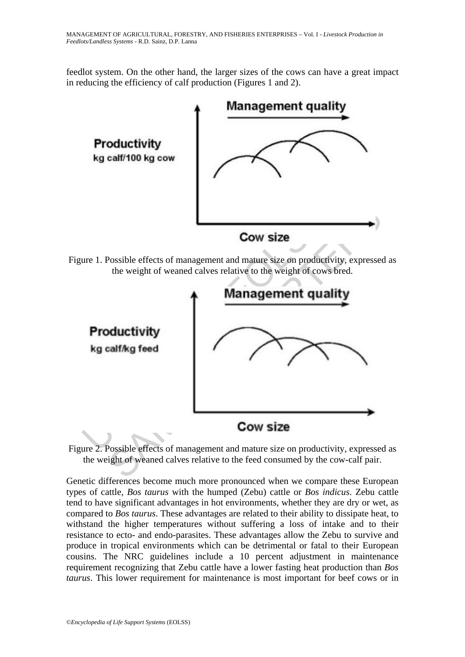feedlot system. On the other hand, the larger sizes of the cows can have a great impact in reducing the efficiency of calf production (Figures 1 and 2).



Figure 1. Possible effects of management and mature size on productivity, expressed as the weight of weaned calves relative to the weight of cows bred.



Figure 2. Possible effects of management and mature size on productivity, expressed as the weight of weaned calves relative to the feed consumed by the cow-calf pair.

Genetic differences become much more pronounced when we compare these European types of cattle, *Bos taurus* with the humped (Zebu) cattle or *Bos indicus*. Zebu cattle tend to have significant advantages in hot environments, whether they are dry or wet, as compared to *Bos taurus*. These advantages are related to their ability to dissipate heat, to withstand the higher temperatures without suffering a loss of intake and to their resistance to ecto- and endo-parasites. These advantages allow the Zebu to survive and produce in tropical environments which can be detrimental or fatal to their European cousins. The NRC guidelines include a 10 percent adjustment in maintenance requirement recognizing that Zebu cattle have a lower fasting heat production than *Bos taurus*. This lower requirement for maintenance is most important for beef cows or in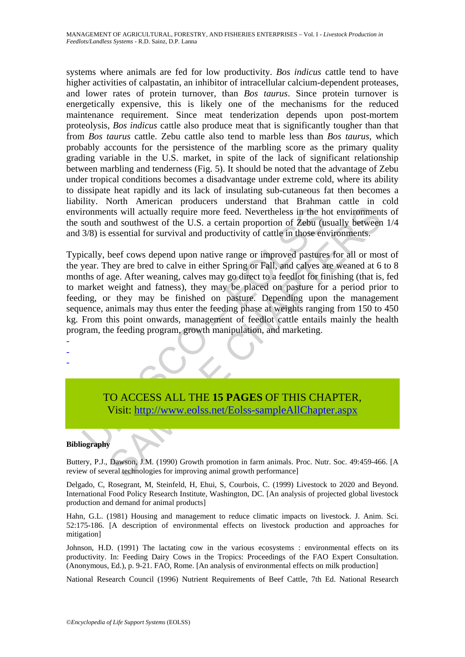systems where animals are fed for low productivity. *Bos indicus* cattle tend to have higher activities of calpastatin, an inhibitor of intracellular calcium-dependent proteases, and lower rates of protein turnover, than *Bos taurus*. Since protein turnover is energetically expensive, this is likely one of the mechanisms for the reduced maintenance requirement. Since meat tenderization depends upon post-mortem proteolysis, *Bos indicus* cattle also produce meat that is significantly tougher than that from *Bos taurus* cattle. Zebu cattle also tend to marble less than *Bos taurus*, which probably accounts for the persistence of the marbling score as the primary quality grading variable in the U.S. market, in spite of the lack of significant relationship between marbling and tenderness (Fig. 5). It should be noted that the advantage of Zebu under tropical conditions becomes a disadvantage under extreme cold, where its ability to dissipate heat rapidly and its lack of insulating sub-cutaneous fat then becomes a liability. North American producers understand that Brahman cattle in cold environments will actually require more feed. Nevertheless in the hot environments of the south and southwest of the U.S. a certain proportion of Zebu (usually between 1/4 and 3/8) is essential for survival and productivity of cattle in those environments.

ironments will actually require more feed. Nevertheless in the hot south and southwest of the U.S. a certain proportion of Zebu (u: 3/8) is essential for survival and productivity of cattle in those envically, beef cows de Internal and marketing the content of the maintain of the maintain of the main technologies for sinth (and the main of the U.S. a certain proportion of Zebu (usually between<br>essential for survival and productivity of cattl Typically, beef cows depend upon native range or improved pastures for all or most of the year. They are bred to calve in either Spring or Fall, and calves are weaned at 6 to 8 months of age. After weaning, calves may go direct to a feedlot for finishing (that is, fed to market weight and fatness), they may be placed on pasture for a period prior to feeding, or they may be finished on pasture. Depending upon the management sequence, animals may thus enter the feeding phase at weights ranging from 150 to 450 kg. From this point onwards, management of feedlot cattle entails mainly the health program, the feeding program, growth manipulation, and marketing.

TO ACCESS ALL THE **15 PAGES** OF THIS CHAPTER, Visit: http://www.eolss.net/Eolss-sampleAllChapter.aspx

#### **Bibliography**

- - -

Buttery, P.J., Dawson, J.M. (1990) Growth promotion in farm animals. Proc. Nutr. Soc. 49:459-466. [A review of several technologies for improving animal growth performance]

Delgado, C, Rosegrant, M, Steinfeld, H, Ehui, S, Courbois, C. (1999) Livestock to 2020 and Beyond. International Food Policy Research Institute, Washington, DC. [An analysis of projected global livestock production and demand for animal products]

Hahn, G.L. (1981) Housing and management to reduce climatic impacts on livestock. J. Anim. Sci. 52:175-186. [A description of environmental effects on livestock production and approaches for mitigation]

Johnson, H.D. (1991) The lactating cow in the various ecosystems : environmental effects on its productivity. In: Feeding Dairy Cows in the Tropics: Proceedings of the FAO Expert Consultation. (Anonymous, Ed.), p. 9-21. FAO, Rome. [An analysis of environmental effects on milk production]

National Research Council (1996) Nutrient Requirements of Beef Cattle, 7th Ed. National Research